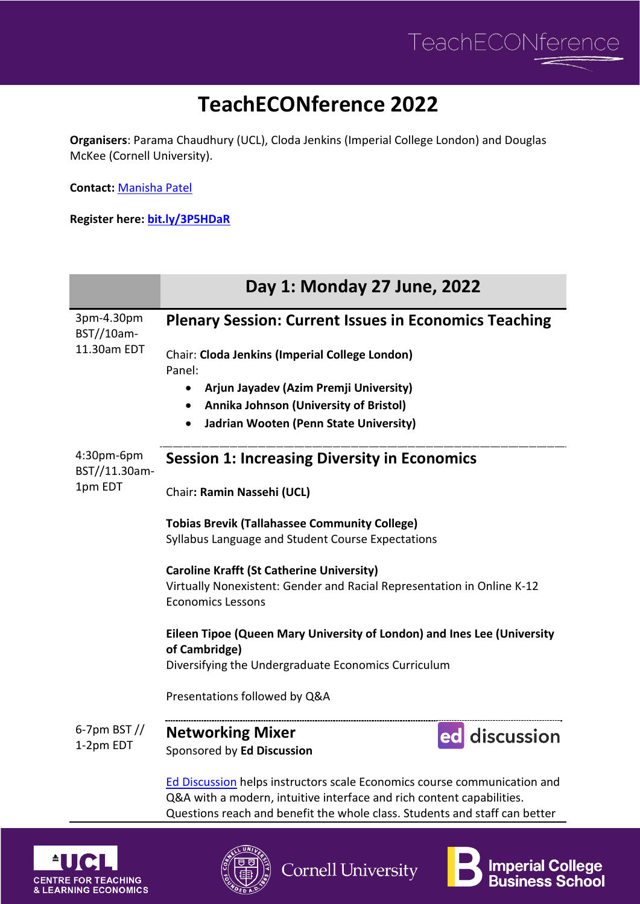

**Imperial College** 

**Business School** 

## **TeachECONference 2022**

**Organisers**: Parama Chaudhury (UCL), Cloda Jenkins (Imperial College London) and Douglas McKee (Cornell University).

**Contact:** [Manisha Patel](mailto:uctpmbp@ucl.ac.uk)

**Register here: [bit.ly/3P5HDaR](https://www.eventbrite.co.uk/e/teacheconference-2022-tickets-335371985637)**

|                                         | Day 1: Monday 27 June, 2022                                                                                                                       |
|-----------------------------------------|---------------------------------------------------------------------------------------------------------------------------------------------------|
| 3pm-4.30pm<br>BST//10am-<br>11.30am EDT | <b>Plenary Session: Current Issues in Economics Teaching</b>                                                                                      |
|                                         | Chair: Cloda Jenkins (Imperial College London)<br>Panel:                                                                                          |
|                                         | Arjun Jayadev (Azim Premji University)<br>$\bullet$                                                                                               |
|                                         | Annika Johnson (University of Bristol)<br>$\bullet$                                                                                               |
|                                         | Jadrian Wooten (Penn State University)<br>$\bullet$                                                                                               |
| 4:30pm-6pm<br>BST//11.30am-<br>1pm EDT  | <b>Session 1: Increasing Diversity in Economics</b>                                                                                               |
|                                         | Chair: Ramin Nassehi (UCL)                                                                                                                        |
|                                         | <b>Tobias Brevik (Tallahassee Community College)</b>                                                                                              |
|                                         | Syllabus Language and Student Course Expectations                                                                                                 |
|                                         | <b>Caroline Krafft (St Catherine University)</b>                                                                                                  |
|                                         | Virtually Nonexistent: Gender and Racial Representation in Online K-12<br><b>Economics Lessons</b>                                                |
|                                         | Eileen Tipoe (Queen Mary University of London) and Ines Lee (University<br>of Cambridge)                                                          |
|                                         | Diversifying the Undergraduate Economics Curriculum                                                                                               |
|                                         | Presentations followed by Q&A                                                                                                                     |
| 6-7pm BST $\frac{1}{2}$<br>1-2pm EDT    | <b>Networking Mixer</b><br>ed discussion                                                                                                          |
|                                         | Sponsored by Ed Discussion                                                                                                                        |
|                                         | Ed Discussion helps instructors scale Economics course communication and<br>Q&A with a modern, intuitive interface and rich content capabilities. |
|                                         |                                                                                                                                                   |



**Cornell University** 



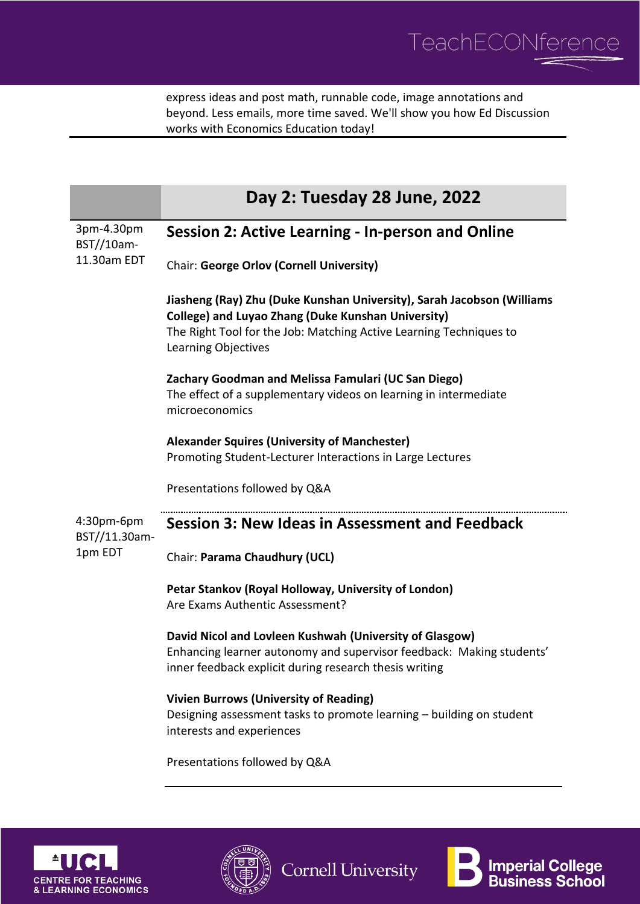

express ideas and post math, runnable code, image annotations and beyond. Less emails, more time saved. We'll show you how Ed Discussion works with Economics Education today!

|                                         | Day 2: Tuesday 28 June, 2022                                                                                                                                                                                              |
|-----------------------------------------|---------------------------------------------------------------------------------------------------------------------------------------------------------------------------------------------------------------------------|
| 3pm-4.30pm<br>BST//10am-<br>11.30am EDT | Session 2: Active Learning - In-person and Online                                                                                                                                                                         |
|                                         | <b>Chair: George Orlov (Cornell University)</b>                                                                                                                                                                           |
|                                         | Jiasheng (Ray) Zhu (Duke Kunshan University), Sarah Jacobson (Williams<br>College) and Luyao Zhang (Duke Kunshan University)<br>The Right Tool for the Job: Matching Active Learning Techniques to<br>Learning Objectives |
|                                         | Zachary Goodman and Melissa Famulari (UC San Diego)<br>The effect of a supplementary videos on learning in intermediate<br>microeconomics                                                                                 |
|                                         | <b>Alexander Squires (University of Manchester)</b><br>Promoting Student-Lecturer Interactions in Large Lectures                                                                                                          |
|                                         | Presentations followed by Q&A                                                                                                                                                                                             |
| 4:30pm-6pm<br>BST//11.30am-<br>1pm EDT  | <b>Session 3: New Ideas in Assessment and Feedback</b>                                                                                                                                                                    |
|                                         | Chair: Parama Chaudhury (UCL)                                                                                                                                                                                             |
|                                         | Petar Stankov (Royal Holloway, University of London)<br>Are Exams Authentic Assessment?                                                                                                                                   |
|                                         | David Nicol and Lovleen Kushwah (University of Glasgow)<br>Enhancing learner autonomy and supervisor feedback: Making students'<br>inner feedback explicit during research thesis writing                                 |
|                                         | <b>Vivien Burrows (University of Reading)</b><br>Designing assessment tasks to promote learning - building on student<br>interests and experiences                                                                        |
|                                         | Presentations followed by Q&A                                                                                                                                                                                             |







**Cornell University**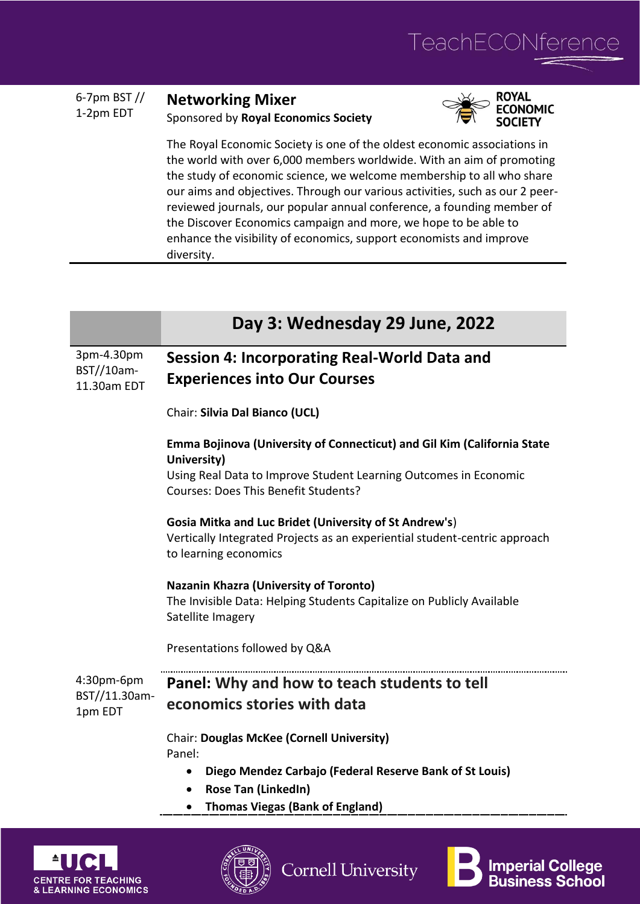

**Imperial College<br>Business School** 

| 6-7pm BST $\frac{1}{2}$<br>1-2pm EDT | <b>Networking Mixer</b>              |
|--------------------------------------|--------------------------------------|
|                                      | Sponsored by Royal Economics Society |
|                                      |                                      |



The Royal Economic Society is one of the oldest economic associations in the world with over 6,000 members worldwide. With an aim of promoting the study of economic science, we welcome membership to all who share our aims and objectives. Through our various activities, such as our 2 peerreviewed journals, our popular annual conference, a founding member of the Discover Economics campaign and more, we hope to be able to enhance the visibility of economics, support economists and improve diversity.

|                                         | Day 3: Wednesday 29 June, 2022                                                                                                                                                                     |
|-----------------------------------------|----------------------------------------------------------------------------------------------------------------------------------------------------------------------------------------------------|
| 3pm-4.30pm<br>BST//10am-<br>11.30am EDT | Session 4: Incorporating Real-World Data and<br><b>Experiences into Our Courses</b>                                                                                                                |
|                                         | Chair: Silvia Dal Bianco (UCL)                                                                                                                                                                     |
|                                         | Emma Bojinova (University of Connecticut) and Gil Kim (California State<br>University)<br>Using Real Data to Improve Student Learning Outcomes in Economic<br>Courses: Does This Benefit Students? |
|                                         | Gosia Mitka and Luc Bridet (University of St Andrew's)<br>Vertically Integrated Projects as an experiential student-centric approach<br>to learning economics                                      |
|                                         | <b>Nazanin Khazra (University of Toronto)</b><br>The Invisible Data: Helping Students Capitalize on Publicly Available<br>Satellite Imagery                                                        |
|                                         | Presentations followed by Q&A                                                                                                                                                                      |
| 4:30pm-6pm<br>BST//11.30am-<br>1pm EDT  | Panel: Why and how to teach students to tell<br>economics stories with data                                                                                                                        |
|                                         | <b>Chair: Douglas McKee (Cornell University)</b><br>Panel:<br>Diego Mendez Carbajo (Federal Reserve Bank of St Louis)<br>$\bullet$                                                                 |
|                                         | Rose Tan (LinkedIn)<br>$\bullet$<br><b>Thomas Viegas (Bank of England)</b>                                                                                                                         |
|                                         | $\sqrt{100}$                                                                                                                                                                                       |

**Cornell University** 

**CENTRE FOR TEACHING & LEARNING ECONOMICS**